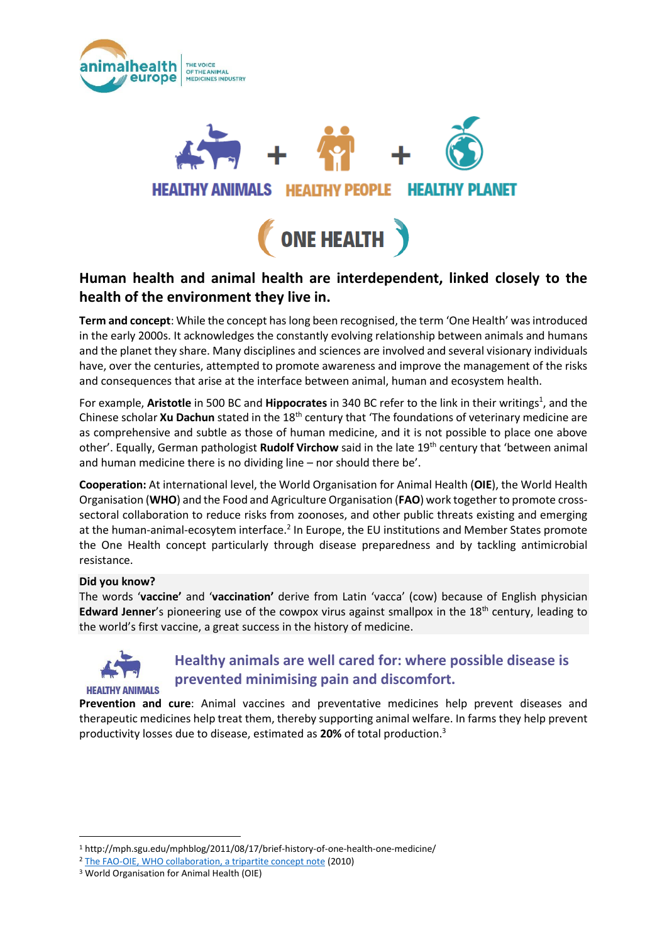





### **Human health and animal health are interdependent, linked closely to the health of the environment they live in.**

**Term and concept**: While the concept has long been recognised, the term 'One Health' was introduced in the early 2000s. It acknowledges the constantly evolving relationship between animals and humans and the planet they share. Many disciplines and sciences are involved and several visionary individuals have, over the centuries, attempted to promote awareness and improve the management of the risks and consequences that arise at the interface between animal, human and ecosystem health.

For example, Aristotle in 500 BC and Hippocrates in 340 BC refer to the link in their writings<sup>1</sup>, and the Chinese scholar **Xu Dachun** stated in the 18th century that 'The foundations of veterinary medicine are as comprehensive and subtle as those of human medicine, and it is not possible to place one above other'. Equally, German pathologist **Rudolf Virchow** said in the late 19th century that 'between animal and human medicine there is no dividing line – nor should there be'.

**Cooperation:** At international level, the World Organisation for Animal Health (**OIE**), the World Health Organisation (**WHO**) and the Food and Agriculture Organisation (**FAO**) work together to promote crosssectoral collaboration to reduce risks from zoonoses, and other public threats existing and emerging at the human-animal-ecosytem interface.<sup>2</sup> In Europe, the EU institutions and Member States promote the One Health concept particularly through disease preparedness and by tackling antimicrobial resistance.

### **Did you know?**

The words '**vaccine'** and '**vaccination'** derive from Latin 'vacca' (cow) because of English physician **Edward Jenner**'s pioneering use of the cowpox virus against smallpox in the 18th century, leading to the world's first vaccine, a great success in the history of medicine.



1

### **Healthy animals are well cared for: where possible disease is prevented minimising pain and discomfort.**

**Prevention and cure**: Animal vaccines and preventative medicines help prevent diseases and therapeutic medicines help treat them, thereby supporting animal welfare. In farms they help prevent productivity losses due to disease, estimated as **20%** of total production. 3

<sup>1</sup> http://mph.sgu.edu/mphblog/2011/08/17/brief-history-of-one-health-one-medicine/

<sup>2</sup> [The FAO-OIE, WHO collaboration, a tripartite concept note](http://www.who.int/influenza/resources/documents/tripartite_concept_note_hanoi/en/) (2010)

<sup>3</sup> World Organisation for Animal Health (OIE)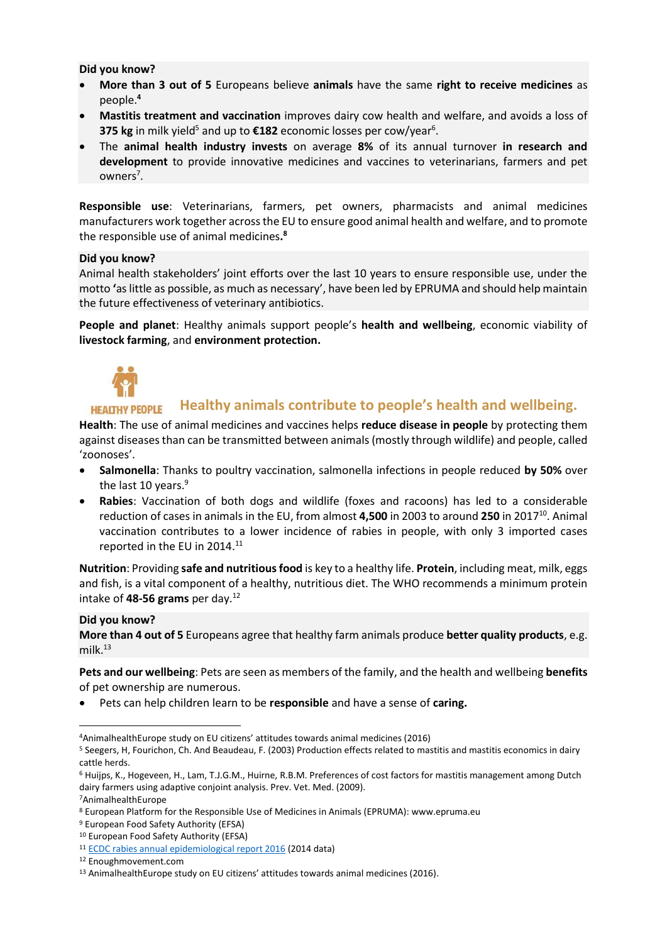#### **Did you know?**

- **More than 3 out of 5** Europeans believe **animals** have the same **right to receive medicines** as people. **4**
- **Mastitis treatment and vaccination** improves dairy cow health and welfare, and avoids a loss of **375 kg** in milk yield<sup>5</sup> and up to €182 economic losses per cow/year<sup>6</sup>.
- The **animal health industry invests** on average **8%** of its annual turnover **in research and development** to provide innovative medicines and vaccines to veterinarians, farmers and pet owners<sup>7</sup>.

**Responsible use**: Veterinarians, farmers, pet owners, pharmacists and animal medicines manufacturers work together across the EU to ensure good animal health and welfare, and to promote the responsible use of animal medicines**. 8**

#### **Did you know?**

Animal health stakeholders' joint efforts over the last 10 years to ensure responsible use, under the motto **'**as little as possible, as much as necessary', have been led by EPRUMA and should help maintain the future effectiveness of veterinary antibiotics.

**People and planet**: Healthy animals support people's **health and wellbeing**, economic viability of **livestock farming**, and **environment protection.**



#### **Healthy animals contribute to people's health and wellbeing. HEALTHY PEOPLE**

**Health**: The use of animal medicines and vaccines helps **reduce disease in people** by protecting them against diseases than can be transmitted between animals (mostly through wildlife) and people, called 'zoonoses'.

- **Salmonella**: Thanks to poultry vaccination, salmonella infections in people reduced **by 50%** over the last 10 years.<sup>9</sup>
- **Rabies**: Vaccination of both dogs and wildlife (foxes and racoons) has led to a considerable reduction of cases in animals in the EU, from almost 4,500 in 2003 to around 250 in 2017<sup>10</sup>. Animal vaccination contributes to a lower incidence of rabies in people, with only 3 imported cases reported in the EU in 2014.<sup>11</sup>

**Nutrition**: Providing **safe and nutritious food** is key to a healthy life. **Protein**, including meat, milk, eggs and fish, is a vital component of a healthy, nutritious diet. The WHO recommends a minimum protein intake of **48-56 grams** per day.<sup>12</sup>

### **Did you know?**

**More than 4 out of 5** Europeans agree that healthy farm animals produce **better quality products**, e.g. milk. $^{13}$ 

**Pets and our wellbeing**: Pets are seen as members of the family, and the health and wellbeing **benefits** of pet ownership are numerous.

• Pets can help children learn to be **responsible** and have a sense of **caring.**

 $\overline{\phantom{a}}$ 

<sup>4</sup>AnimalhealthEurope study on EU citizens' attitudes towards animal medicines (2016)

<sup>5</sup> Seegers, H, Fourichon, Ch. And Beaudeau, F. (2003) Production effects related to mastitis and mastitis economics in dairy cattle herds.

<sup>6</sup> Huijps, K., Hogeveen, H., Lam, T.J.G.M., Huirne, R.B.M. Preferences of cost factors for mastitis management among Dutch dairy farmers using adaptive conjoint analysis. Prev. Vet. Med. (2009).

<sup>7</sup>AnimalhealthEurope

<sup>8</sup> European Platform for the Responsible Use of Medicines in Animals (EPRUMA): www.epruma.eu

<sup>9</sup> European Food Safety Authority (EFSA)

<sup>10</sup> European Food Safety Authority (EFSA)

<sup>11</sup> [ECDC rabies annual epidemiological report 2016](https://ecdc.europa.eu/en/publications-data/rabies-annual-epidemiological-report-2016-2014-data) (2014 data)

<sup>12</sup> Enoughmovement.com

<sup>13</sup> AnimalhealthEurope study on EU citizens' attitudes towards animal medicines (2016).